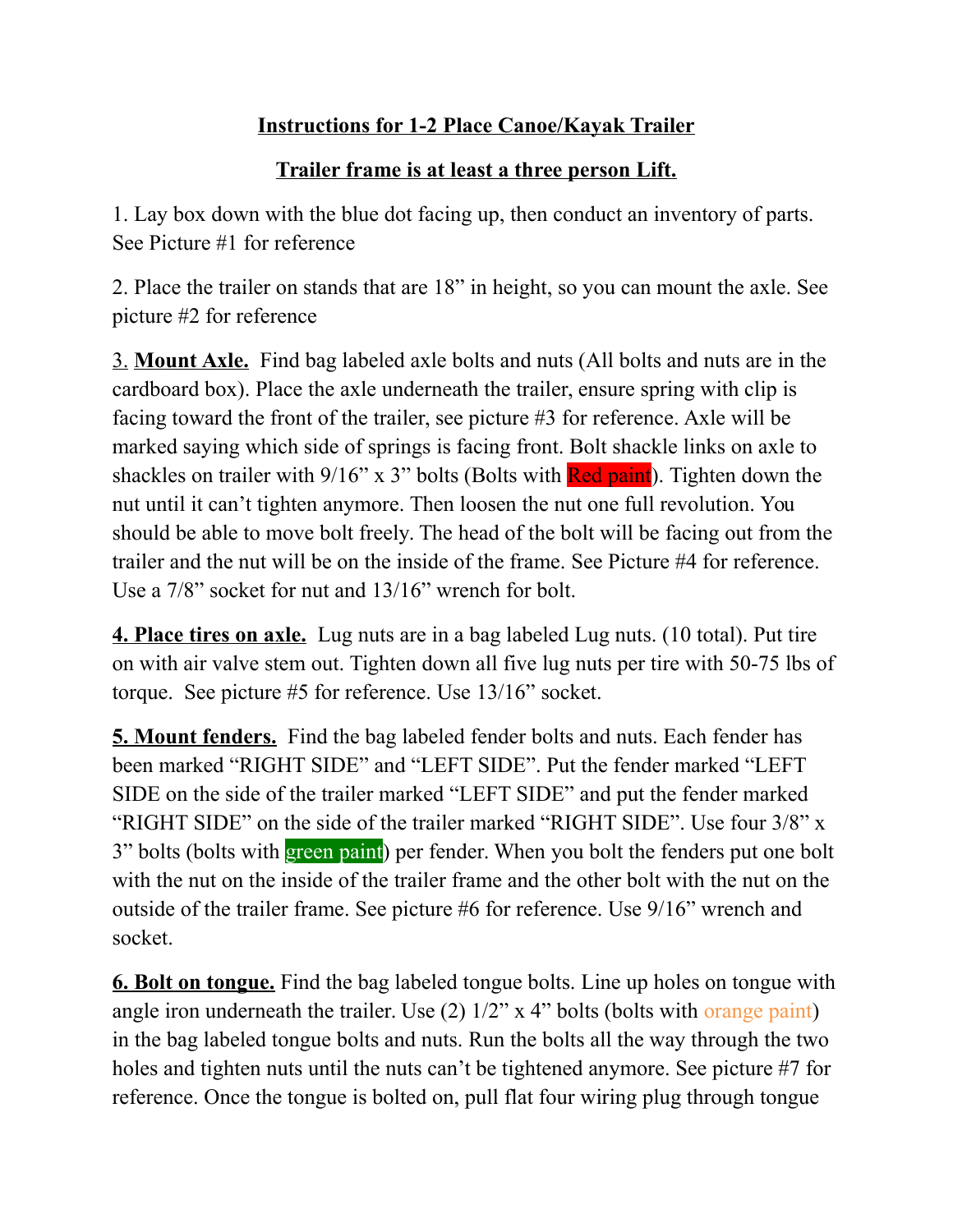## **Instructions for 1-2 Place Canoe/Kayak Trailer**

## **Trailer frame is at least a three person Lift.**

1. Lay box down with the blue dot facing up, then conduct an inventory of parts. See Picture #1 for reference

2. Place the trailer on stands that are 18" in height, so you can mount the axle. See picture #2 for reference

3. **Mount Axle.** Find bag labeled axle bolts and nuts (All bolts and nuts are in the cardboard box). Place the axle underneath the trailer, ensure spring with clip is facing toward the front of the trailer, see picture #3 for reference. Axle will be marked saying which side of springs is facing front. Bolt shackle links on axle to shackles on trailer with  $9/16$ " x 3" bolts (Bolts with Red paint). Tighten down the nut until it can't tighten anymore. Then loosen the nut one full revolution. You should be able to move bolt freely. The head of the bolt will be facing out from the trailer and the nut will be on the inside of the frame. See Picture #4 for reference. Use a 7/8" socket for nut and 13/16" wrench for bolt.

**4. Place tires on axle.** Lug nuts are in a bag labeled Lug nuts. (10 total). Put tire on with air valve stem out. Tighten down all five lug nuts per tire with 50-75 lbs of torque. See picture #5 for reference. Use 13/16" socket.

**5. Mount fenders.** Find the bag labeled fender bolts and nuts. Each fender has been marked "RIGHT SIDE" and "LEFT SIDE". Put the fender marked "LEFT SIDE on the side of the trailer marked "LEFT SIDE" and put the fender marked "RIGHT SIDE" on the side of the trailer marked "RIGHT SIDE". Use four 3/8" x 3" bolts (bolts with green paint) per fender. When you bolt the fenders put one bolt with the nut on the inside of the trailer frame and the other bolt with the nut on the outside of the trailer frame. See picture #6 for reference. Use 9/16" wrench and socket.

**6. Bolt on tongue.** Find the bag labeled tongue bolts. Line up holes on tongue with angle iron underneath the trailer. Use  $(2)$  1/2" x 4" bolts (bolts with orange paint) in the bag labeled tongue bolts and nuts. Run the bolts all the way through the two holes and tighten nuts until the nuts can't be tightened anymore. See picture #7 for reference. Once the tongue is bolted on, pull flat four wiring plug through tongue